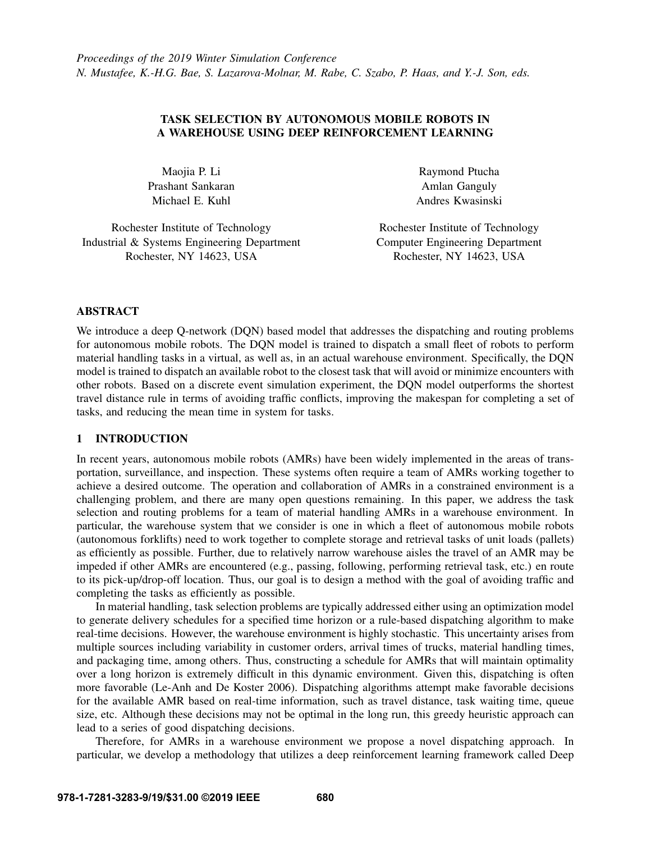# TASK SELECTION BY AUTONOMOUS MOBILE ROBOTS IN A WAREHOUSE USING DEEP REINFORCEMENT LEARNING

Maojia P. Li Prashant Sankaran Michael E. Kuhl

Raymond Ptucha Amlan Ganguly Andres Kwasinski

Rochester Institute of Technology Industrial & Systems Engineering Department Rochester, NY 14623, USA

Rochester Institute of Technology Computer Engineering Department Rochester, NY 14623, USA

# ABSTRACT

We introduce a deep Q-network (DQN) based model that addresses the dispatching and routing problems for autonomous mobile robots. The DQN model is trained to dispatch a small fleet of robots to perform material handling tasks in a virtual, as well as, in an actual warehouse environment. Specifically, the DQN model is trained to dispatch an available robot to the closest task that will avoid or minimize encounters with other robots. Based on a discrete event simulation experiment, the DQN model outperforms the shortest travel distance rule in terms of avoiding traffic conflicts, improving the makespan for completing a set of tasks, and reducing the mean time in system for tasks.

# 1 INTRODUCTION

In recent years, autonomous mobile robots (AMRs) have been widely implemented in the areas of transportation, surveillance, and inspection. These systems often require a team of AMRs working together to achieve a desired outcome. The operation and collaboration of AMRs in a constrained environment is a challenging problem, and there are many open questions remaining. In this paper, we address the task selection and routing problems for a team of material handling AMRs in a warehouse environment. In particular, the warehouse system that we consider is one in which a fleet of autonomous mobile robots (autonomous forklifts) need to work together to complete storage and retrieval tasks of unit loads (pallets) as efficiently as possible. Further, due to relatively narrow warehouse aisles the travel of an AMR may be impeded if other AMRs are encountered (e.g., passing, following, performing retrieval task, etc.) en route to its pick-up/drop-off location. Thus, our goal is to design a method with the goal of avoiding traffic and completing the tasks as efficiently as possible.

In material handling, task selection problems are typically addressed either using an optimization model to generate delivery schedules for a specified time horizon or a rule-based dispatching algorithm to make real-time decisions. However, the warehouse environment is highly stochastic. This uncertainty arises from multiple sources including variability in customer orders, arrival times of trucks, material handling times, and packaging time, among others. Thus, constructing a schedule for AMRs that will maintain optimality over a long horizon is extremely difficult in this dynamic environment. Given this, dispatching is often more favorable [\(Le-Anh and De Koster 2006\)](#page-8-0). Dispatching algorithms attempt make favorable decisions for the available AMR based on real-time information, such as travel distance, task waiting time, queue size, etc. Although these decisions may not be optimal in the long run, this greedy heuristic approach can lead to a series of good dispatching decisions.

Therefore, for AMRs in a warehouse environment we propose a novel dispatching approach. In particular, we develop a methodology that utilizes a deep reinforcement learning framework called Deep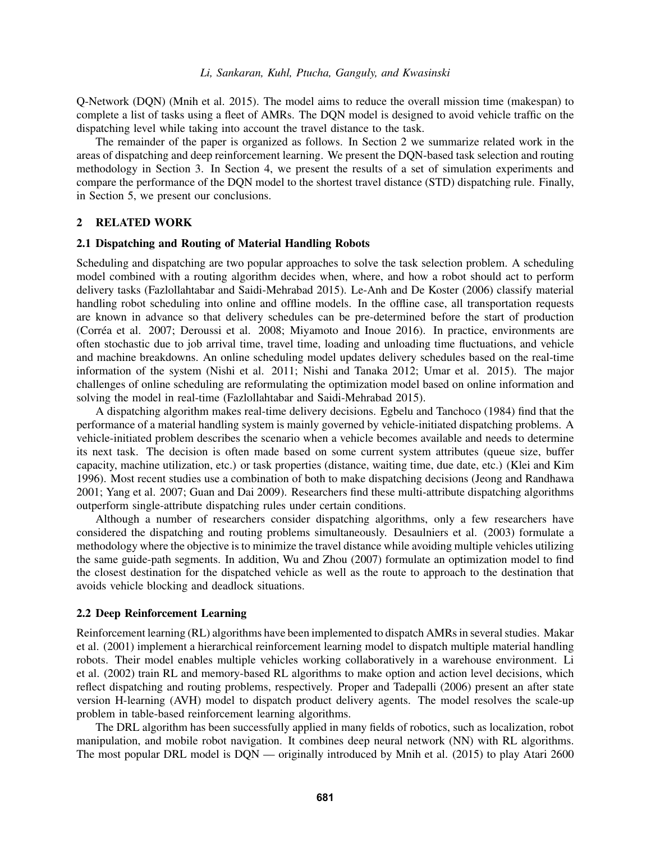Q-Network (DQN) [\(Mnih et al. 2015\)](#page-8-1). The model aims to reduce the overall mission time (makespan) to complete a list of tasks using a fleet of AMRs. The DQN model is designed to avoid vehicle traffic on the dispatching level while taking into account the travel distance to the task.

The remainder of the paper is organized as follows. In Section [2](#page-1-0) we summarize related work in the areas of dispatching and deep reinforcement learning. We present the DQN-based task selection and routing methodology in Section [3.](#page-2-0) In Section [4,](#page-5-0) we present the results of a set of simulation experiments and compare the performance of the DQN model to the shortest travel distance (STD) dispatching rule. Finally, in Section [5,](#page-7-0) we present our conclusions.

# <span id="page-1-0"></span>2 RELATED WORK

### 2.1 Dispatching and Routing of Material Handling Robots

Scheduling and dispatching are two popular approaches to solve the task selection problem. A scheduling model combined with a routing algorithm decides when, where, and how a robot should act to perform delivery tasks [\(Fazlollahtabar and Saidi-Mehrabad 2015\)](#page-7-1). [Le-Anh and De Koster \(2006\)](#page-8-0) classify material handling robot scheduling into online and offline models. In the offline case, all transportation requests are known in advance so that delivery schedules can be pre-determined before the start of production (Corréa et al. 2007; [Deroussi et al. 2008;](#page-7-3) [Miyamoto and Inoue 2016\)](#page-8-2). In practice, environments are often stochastic due to job arrival time, travel time, loading and unloading time fluctuations, and vehicle and machine breakdowns. An online scheduling model updates delivery schedules based on the real-time information of the system [\(Nishi et al. 2011;](#page-8-3) [Nishi and Tanaka 2012;](#page-8-4) [Umar et al. 2015\)](#page-8-5). The major challenges of online scheduling are reformulating the optimization model based on online information and solving the model in real-time [\(Fazlollahtabar and Saidi-Mehrabad 2015\)](#page-7-1).

A dispatching algorithm makes real-time delivery decisions. [Egbelu and Tanchoco \(1984\)](#page-7-4) find that the performance of a material handling system is mainly governed by vehicle-initiated dispatching problems. A vehicle-initiated problem describes the scenario when a vehicle becomes available and needs to determine its next task. The decision is often made based on some current system attributes (queue size, buffer capacity, machine utilization, etc.) or task properties (distance, waiting time, due date, etc.) [\(Klei and Kim](#page-7-5) [1996\)](#page-7-5). Most recent studies use a combination of both to make dispatching decisions [\(Jeong and Randhawa](#page-7-6) [2001;](#page-7-6) [Yang et al. 2007;](#page-8-6) [Guan and Dai 2009\)](#page-7-7). Researchers find these multi-attribute dispatching algorithms outperform single-attribute dispatching rules under certain conditions.

Although a number of researchers consider dispatching algorithms, only a few researchers have considered the dispatching and routing problems simultaneously. [Desaulniers et al. \(2003\)](#page-7-8) formulate a methodology where the objective is to minimize the travel distance while avoiding multiple vehicles utilizing the same guide-path segments. In addition, [Wu and Zhou \(2007\)](#page-8-7) formulate an optimization model to find the closest destination for the dispatched vehicle as well as the route to approach to the destination that avoids vehicle blocking and deadlock situations.

### 2.2 Deep Reinforcement Learning

Reinforcement learning (RL) algorithms have been implemented to dispatch AMRs in several studies. [Makar](#page-8-8) [et al. \(2001\)](#page-8-8) implement a hierarchical reinforcement learning model to dispatch multiple material handling robots. Their model enables multiple vehicles working collaboratively in a warehouse environment. [Li](#page-8-9) [et al. \(2002\)](#page-8-9) train RL and memory-based RL algorithms to make option and action level decisions, which reflect dispatching and routing problems, respectively. [Proper and Tadepalli \(2006\)](#page-8-10) present an after state version H-learning (AVH) model to dispatch product delivery agents. The model resolves the scale-up problem in table-based reinforcement learning algorithms.

The DRL algorithm has been successfully applied in many fields of robotics, such as localization, robot manipulation, and mobile robot navigation. It combines deep neural network (NN) with RL algorithms. The most popular DRL model is DQN — originally introduced by [Mnih et al. \(2015\)](#page-8-1) to play Atari 2600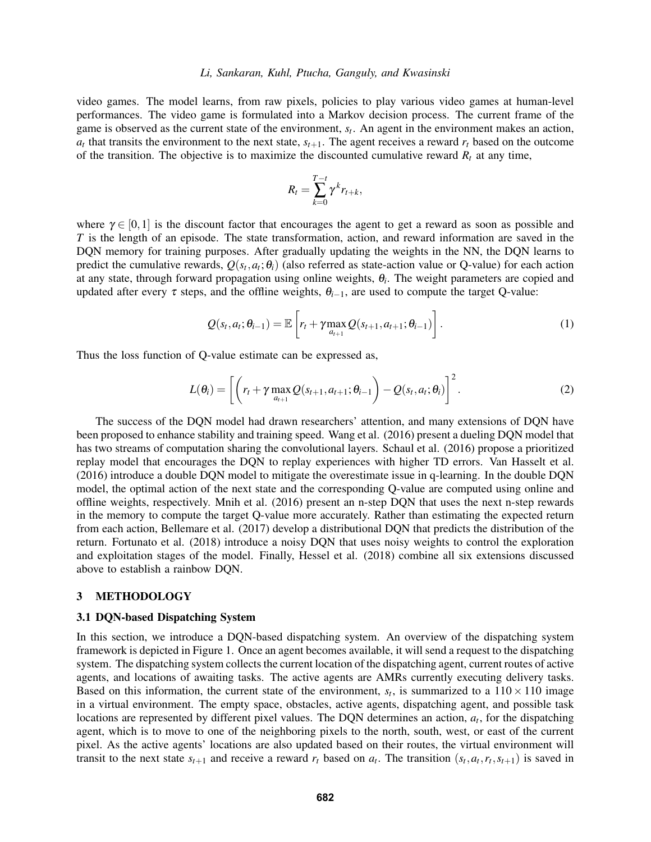video games. The model learns, from raw pixels, policies to play various video games at human-level performances. The video game is formulated into a Markov decision process. The current frame of the game is observed as the current state of the environment, *s<sup>t</sup>* . An agent in the environment makes an action,  $a_t$  that transits the environment to the next state,  $s_{t+1}$ . The agent receives a reward  $r_t$  based on the outcome of the transition. The objective is to maximize the discounted cumulative reward  $R_t$  at any time,

<span id="page-2-1"></span>
$$
R_t = \sum_{k=0}^{T-t} \gamma^k r_{t+k},
$$

where  $\gamma \in [0,1]$  is the discount factor that encourages the agent to get a reward as soon as possible and *T* is the length of an episode. The state transformation, action, and reward information are saved in the DQN memory for training purposes. After gradually updating the weights in the NN, the DQN learns to predict the cumulative rewards,  $Q(s_t, a_t; \theta_i)$  (also referred as state-action value or Q-value) for each action at any state, through forward propagation using online weights, θ*<sup>i</sup>* . The weight parameters are copied and updated after every  $\tau$  steps, and the offline weights,  $\theta_{i-1}$ , are used to compute the target Q-value:

$$
Q(s_t, a_t; \theta_{i-1}) = \mathbb{E}\left[r_t + \gamma \max_{a_{t+1}} Q(s_{t+1}, a_{t+1}; \theta_{i-1})\right].
$$
\n(1)

Thus the loss function of Q-value estimate can be expressed as,

<span id="page-2-2"></span>
$$
L(\theta_i) = \left[ \left( r_t + \gamma \max_{a_{t+1}} Q(s_{t+1}, a_{t+1}; \theta_{i-1}) - Q(s_t, a_t; \theta_i) \right)^2 \right].
$$
 (2)

The success of the DQN model had drawn researchers' attention, and many extensions of DQN have been proposed to enhance stability and training speed. [Wang et al. \(2016\)](#page-8-11) present a dueling DQN model that has two streams of computation sharing the convolutional layers. [Schaul et al. \(2016\)](#page-8-12) propose a prioritized replay model that encourages the DQN to replay experiences with higher TD errors. [Van Hasselt et al.](#page-8-13) [\(2016\)](#page-8-13) introduce a double DQN model to mitigate the overestimate issue in q-learning. In the double DQN model, the optimal action of the next state and the corresponding Q-value are computed using online and offline weights, respectively. [Mnih et al. \(2016\)](#page-8-14) present an n-step DQN that uses the next n-step rewards in the memory to compute the target Q-value more accurately. Rather than estimating the expected return from each action, [Bellemare et al. \(2017\)](#page-7-9) develop a distributional DQN that predicts the distribution of the return. [Fortunato et al. \(2018\)](#page-7-10) introduce a noisy DQN that uses noisy weights to control the exploration and exploitation stages of the model. Finally, [Hessel et al. \(2018\)](#page-7-11) combine all six extensions discussed above to establish a rainbow DQN.

## <span id="page-2-0"></span>3 METHODOLOGY

### 3.1 DQN-based Dispatching System

In this section, we introduce a DQN-based dispatching system. An overview of the dispatching system framework is depicted in Figure [1.](#page-3-0) Once an agent becomes available, it will send a request to the dispatching system. The dispatching system collects the current location of the dispatching agent, current routes of active agents, and locations of awaiting tasks. The active agents are AMRs currently executing delivery tasks. Based on this information, the current state of the environment,  $s_t$ , is summarized to a  $110 \times 110$  image in a virtual environment. The empty space, obstacles, active agents, dispatching agent, and possible task locations are represented by different pixel values. The DQN determines an action, *a<sup>t</sup>* , for the dispatching agent, which is to move to one of the neighboring pixels to the north, south, west, or east of the current pixel. As the active agents' locations are also updated based on their routes, the virtual environment will transit to the next state  $s_{t+1}$  and receive a reward  $r_t$  based on  $a_t$ . The transition  $(s_t, a_t, r_t, s_{t+1})$  is saved in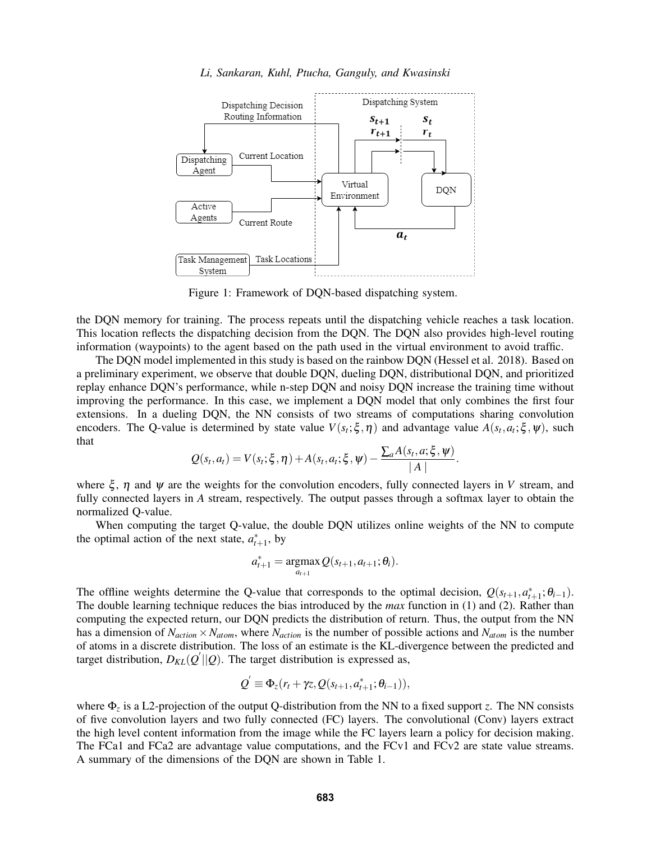

<span id="page-3-0"></span>Figure 1: Framework of DQN-based dispatching system.

the DQN memory for training. The process repeats until the dispatching vehicle reaches a task location. This location reflects the dispatching decision from the DQN. The DQN also provides high-level routing information (waypoints) to the agent based on the path used in the virtual environment to avoid traffic.

The DQN model implemented in this study is based on the rainbow DQN [\(Hessel et al. 2018\)](#page-7-11). Based on a preliminary experiment, we observe that double DQN, dueling DQN, distributional DQN, and prioritized replay enhance DQN's performance, while n-step DQN and noisy DQN increase the training time without improving the performance. In this case, we implement a DQN model that only combines the first four extensions. In a dueling DQN, the NN consists of two streams of computations sharing convolution encoders. The Q-value is determined by state value  $V(s_t; \xi, \eta)$  and advantage value  $A(s_t, a_t; \xi, \psi)$ , such that

$$
Q(s_t, a_t) = V(s_t; \xi, \eta) + A(s_t, a_t; \xi, \psi) - \frac{\sum_a A(s_t, a; \xi, \psi)}{|A|}.
$$

where  $\xi$ ,  $\eta$  and  $\psi$  are the weights for the convolution encoders, fully connected layers in *V* stream, and fully connected layers in *A* stream, respectively. The output passes through a softmax layer to obtain the normalized Q-value.

When computing the target Q-value, the double DQN utilizes online weights of the NN to compute the optimal action of the next state,  $a_{t+1}^*$ , by

$$
a_{t+1}^* = \operatorname*{argmax}_{a_{t+1}} Q(s_{t+1}, a_{t+1}; \theta_t).
$$

The offline weights determine the Q-value that corresponds to the optimal decision,  $Q(s_{t+1}, a_{t+1}^*; \theta_{t-1})$ . The double learning technique reduces the bias introduced by the *max* function in [\(1\)](#page-2-1) and [\(2\)](#page-2-2). Rather than computing the expected return, our DQN predicts the distribution of return. Thus, the output from the NN has a dimension of  $N_{action} \times N_{atom}$ , where  $N_{action}$  is the number of possible actions and  $N_{atom}$  is the number of atoms in a discrete distribution. The loss of an estimate is the KL-divergence between the predicted and target distribution,  $D_{KL}(Q'||Q)$ . The target distribution is expressed as,

$$
Q^{'}\equiv\Phi_{z}(r_{t}+\gamma z,Q(s_{t+1},a_{t+1}^*;\theta_{t-1})),
$$

where Φ*<sup>z</sup>* is a L2-projection of the output Q-distribution from the NN to a fixed support *z*. The NN consists of five convolution layers and two fully connected (FC) layers. The convolutional (Conv) layers extract the high level content information from the image while the FC layers learn a policy for decision making. The FCa1 and FCa2 are advantage value computations, and the FCv1 and FCv2 are state value streams. A summary of the dimensions of the DQN are shown in Table [1.](#page-4-0)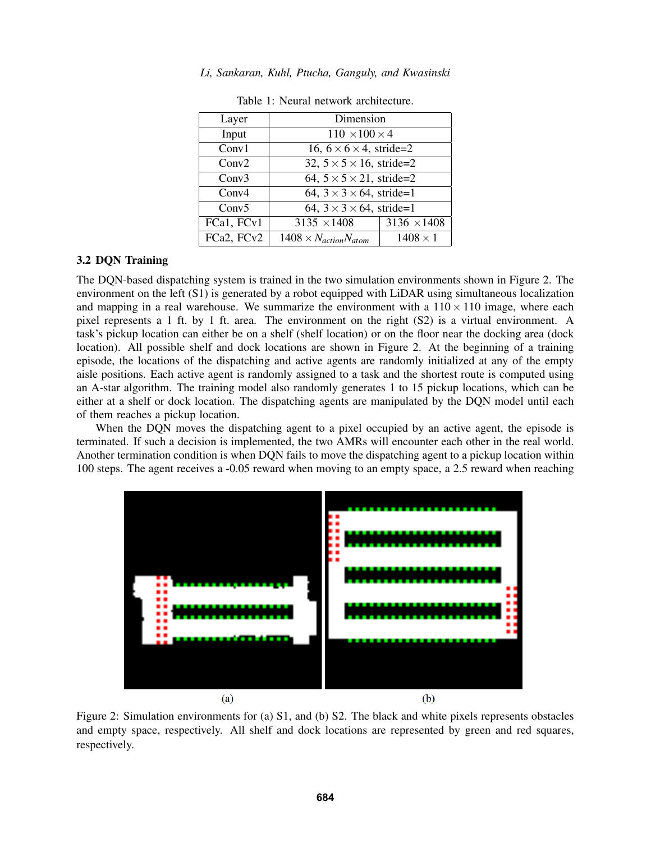| Layer             | Dimension                             |                    |  |
|-------------------|---------------------------------------|--------------------|--|
| Input             | $110 \times 100 \times 4$             |                    |  |
| Conv1             | 16, $6 \times 6 \times 4$ , stride=2  |                    |  |
| Conv2             | 32, $5 \times 5 \times 16$ , stride=2 |                    |  |
| Conv3             | 64, $5 \times 5 \times 21$ , stride=2 |                    |  |
| Conv <sub>4</sub> | 64, $3 \times 3 \times 64$ , stride=1 |                    |  |
| Conv5             | 64, $3 \times 3 \times 64$ , stride=1 |                    |  |
| FCa1, FCv1        | $3135 \times 1408$                    | $3136 \times 1408$ |  |
| FCa2, FCv2        | $1408 \times N_{action}N_{atom}$      | $1408 \times 1$    |  |

*Li, Sankaran, Kuhl, Ptucha, Ganguly, and Kwasinski*

<span id="page-4-0"></span>Table 1: Neural network architecture.

# 3.2 DQN Training

The DQN-based dispatching system is trained in the two simulation environments shown in Figure [2.](#page-4-1) The environment on the left (S1) is generated by a robot equipped with LiDAR using simultaneous localization and mapping in a real warehouse. We summarize the environment with a  $110 \times 110$  image, where each pixel represents a 1 ft. by 1 ft. area. The environment on the right (S2) is a virtual environment. A task's pickup location can either be on a shelf (shelf location) or on the floor near the docking area (dock location). All possible shelf and dock locations are shown in Figure [2.](#page-4-1) At the beginning of a training episode, the locations of the dispatching and active agents are randomly initialized at any of the empty aisle positions. Each active agent is randomly assigned to a task and the shortest route is computed using an A-star algorithm. The training model also randomly generates 1 to 15 pickup locations, which can be either at a shelf or dock location. The dispatching agents are manipulated by the DQN model until each of them reaches a pickup location.

When the DQN moves the dispatching agent to a pixel occupied by an active agent, the episode is terminated. If such a decision is implemented, the two AMRs will encounter each other in the real world. Another termination condition is when DQN fails to move the dispatching agent to a pickup location within 100 steps. The agent receives a -0.05 reward when moving to an empty space, a 2.5 reward when reaching



<span id="page-4-1"></span>Figure 2: Simulation environments for (a) S1, and (b) S2. The black and white pixels represents obstacles and empty space, respectively. All shelf and dock locations are represented by green and red squares, respectively.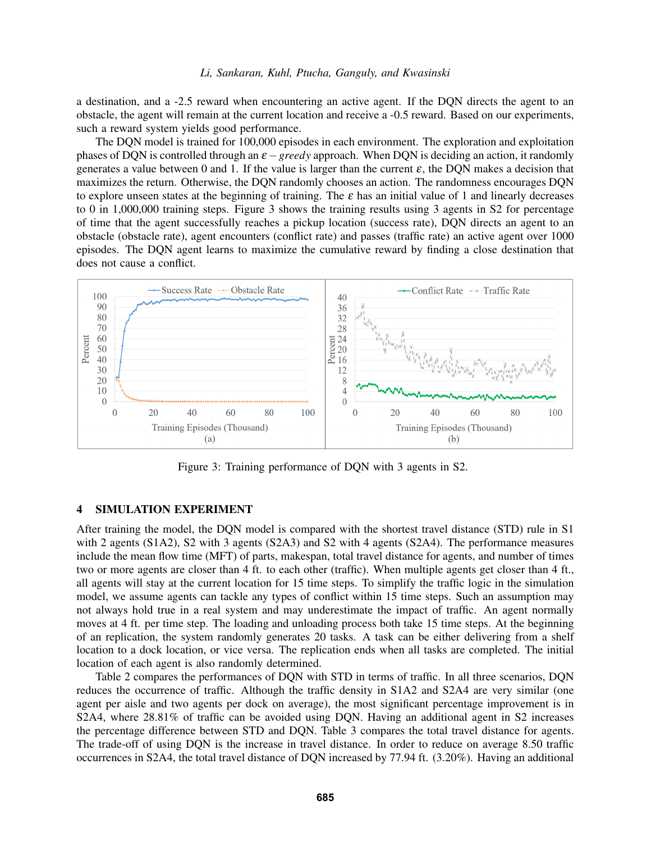a destination, and a -2.5 reward when encountering an active agent. If the DQN directs the agent to an obstacle, the agent will remain at the current location and receive a -0.5 reward. Based on our experiments, such a reward system yields good performance.

The DQN model is trained for 100,000 episodes in each environment. The exploration and exploitation phases of DQN is controlled through an  $\varepsilon$  – *greedy* approach. When DQN is deciding an action, it randomly generates a value between 0 and 1. If the value is larger than the current  $\varepsilon$ , the DQN makes a decision that maximizes the return. Otherwise, the DQN randomly chooses an action. The randomness encourages DQN to explore unseen states at the beginning of training. The  $\varepsilon$  has an initial value of 1 and linearly decreases to 0 in 1,000,000 training steps. Figure [3](#page-5-1) shows the training results using 3 agents in S2 for percentage of time that the agent successfully reaches a pickup location (success rate), DQN directs an agent to an obstacle (obstacle rate), agent encounters (conflict rate) and passes (traffic rate) an active agent over 1000 episodes. The DQN agent learns to maximize the cumulative reward by finding a close destination that does not cause a conflict.



<span id="page-5-1"></span>Figure 3: Training performance of DQN with 3 agents in S2.

# <span id="page-5-0"></span>4 SIMULATION EXPERIMENT

After training the model, the DQN model is compared with the shortest travel distance (STD) rule in S1 with 2 agents (S1A2), S2 with 3 agents (S2A3) and S2 with 4 agents (S2A4). The performance measures include the mean flow time (MFT) of parts, makespan, total travel distance for agents, and number of times two or more agents are closer than 4 ft. to each other (traffic). When multiple agents get closer than 4 ft., all agents will stay at the current location for 15 time steps. To simplify the traffic logic in the simulation model, we assume agents can tackle any types of conflict within 15 time steps. Such an assumption may not always hold true in a real system and may underestimate the impact of traffic. An agent normally moves at 4 ft. per time step. The loading and unloading process both take 15 time steps. At the beginning of an replication, the system randomly generates 20 tasks. A task can be either delivering from a shelf location to a dock location, or vice versa. The replication ends when all tasks are completed. The initial location of each agent is also randomly determined.

Table [2](#page-6-0) compares the performances of DQN with STD in terms of traffic. In all three scenarios, DQN reduces the occurrence of traffic. Although the traffic density in S1A2 and S2A4 are very similar (one agent per aisle and two agents per dock on average), the most significant percentage improvement is in S2A4, where 28.81% of traffic can be avoided using DQN. Having an additional agent in S2 increases the percentage difference between STD and DQN. Table [3](#page-6-1) compares the total travel distance for agents. The trade-off of using DQN is the increase in travel distance. In order to reduce on average 8.50 traffic occurrences in S2A4, the total travel distance of DQN increased by 77.94 ft. (3.20%). Having an additional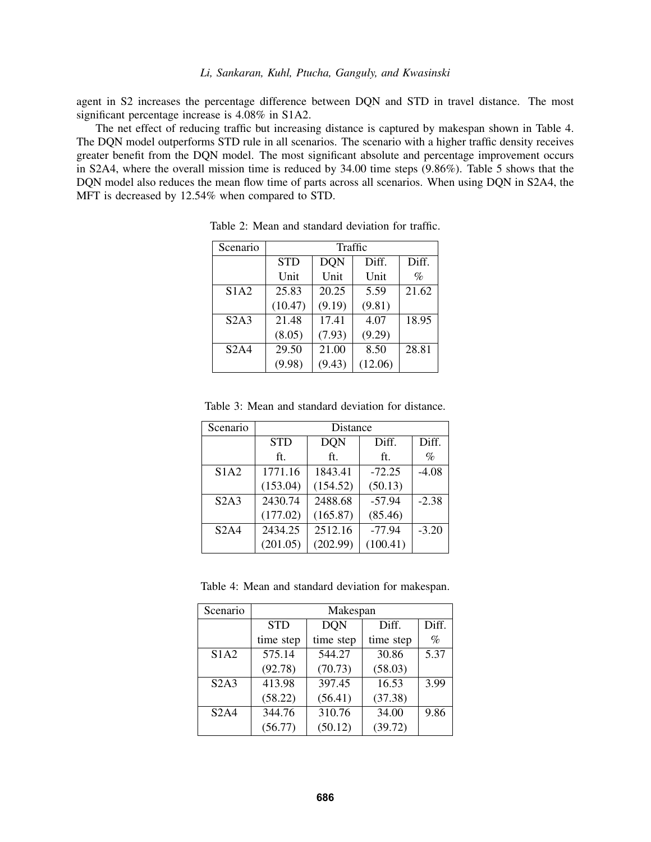agent in S2 increases the percentage difference between DQN and STD in travel distance. The most significant percentage increase is 4.08% in S1A2.

The net effect of reducing traffic but increasing distance is captured by makespan shown in Table [4.](#page-6-2) The DQN model outperforms STD rule in all scenarios. The scenario with a higher traffic density receives greater benefit from the DQN model. The most significant absolute and percentage improvement occurs in S2A4, where the overall mission time is reduced by 34.00 time steps (9.86%). Table 5 shows that the DQN model also reduces the mean flow time of parts across all scenarios. When using DQN in S2A4, the MFT is decreased by 12.54% when compared to STD.

| Scenario | Traffic    |            |         |       |
|----------|------------|------------|---------|-------|
|          | <b>STD</b> | <b>DQN</b> | Diff.   | Diff. |
|          | Unit       | Unit       | Unit    | $\%$  |
| S1A2     | 25.83      | 20.25      | 5.59    | 21.62 |
|          | (10.47)    | (9.19)     | (9.81)  |       |
| S2A3     | 21.48      | 17.41      | 4.07    | 18.95 |
|          | (8.05)     | (7.93)     | (9.29)  |       |
| S2A4     | 29.50      | 21.00      | 8.50    | 28.81 |
|          | (9.98)     | (9.43)     | (12.06) |       |

<span id="page-6-0"></span>Table 2: Mean and standard deviation for traffic.

| +∟⊿⊿ | 29.50 | $\angle 1.00$ | 0.50                        | $\angle 0.01$ |
|------|-------|---------------|-----------------------------|---------------|
|      |       |               | $(9.98)$ $(9.43)$ $(12.06)$ |               |
|      |       |               |                             |               |
|      |       |               |                             |               |
|      |       |               |                             |               |

<span id="page-6-1"></span>Table 3: Mean and standard deviation for distance.

| Scenario | Distance   |            |          |         |
|----------|------------|------------|----------|---------|
|          | <b>STD</b> | <b>DQN</b> | Diff.    | Diff.   |
|          | ft.        | ft.        | ft.      | $\%$    |
| S1A2     | 1771.16    | 1843.41    | $-72.25$ | $-4.08$ |
|          | (153.04)   | (154.52)   | (50.13)  |         |
| S2A3     | 2430.74    | 2488.68    | $-57.94$ | $-2.38$ |
|          | (177.02)   | (165.87)   | (85.46)  |         |
| S2A4     | 2434.25    | 2512.16    | $-77.94$ | $-3.20$ |
|          | (201.05)   | (202.99)   | (100.41) |         |

<span id="page-6-2"></span>Table 4: Mean and standard deviation for makespan.

| Scenario | Makespan   |            |           |       |
|----------|------------|------------|-----------|-------|
|          | <b>STD</b> | <b>DON</b> | Diff.     | Diff. |
|          | time step  | time step  | time step | $\%$  |
| S1A2     | 575.14     | 544.27     | 30.86     | 5.37  |
|          | (92.78)    | (70.73)    | (58.03)   |       |
| S2A3     | 413.98     | 397.45     | 16.53     | 3.99  |
|          | (58.22)    | (56.41)    | (37.38)   |       |
| S2A4     | 344.76     | 310.76     | 34.00     | 9.86  |
|          | (56.77)    | (50.12)    | (39.72)   |       |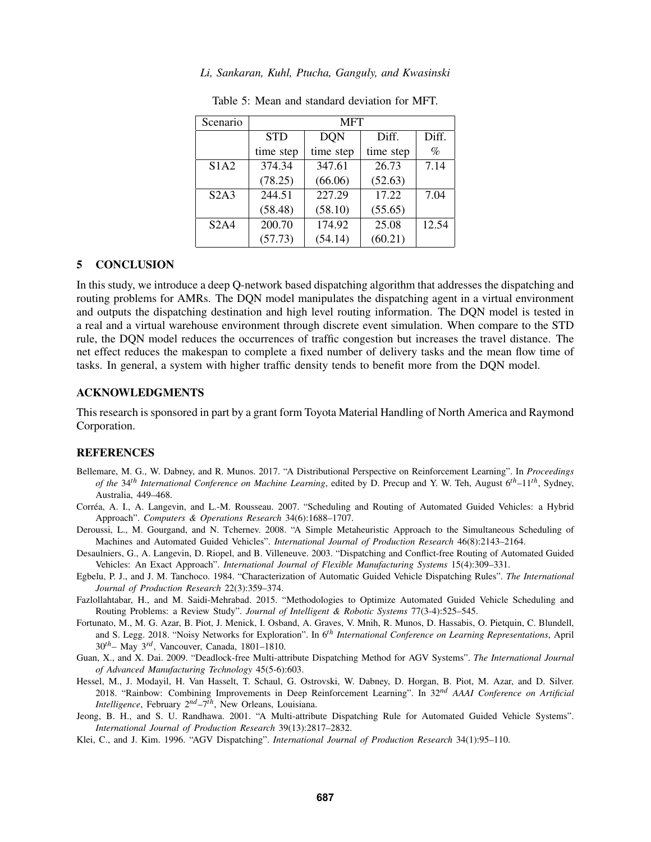| Scenario    | <b>MFT</b> |                     |           |       |
|-------------|------------|---------------------|-----------|-------|
|             | <b>STD</b> | <b>DON</b>          | Diff.     | Diff. |
|             | time step  | time step           | time step | $\%$  |
| <b>S1A2</b> | 374.34     | 347.61              | 26.73     | 7.14  |
|             | (78.25)    | (66.06)             | (52.63)   |       |
| S2A3        | 244.51     | $\overline{227.29}$ | 17.22     | 7.04  |
|             | (58.48)    | (58.10)             | (55.65)   |       |
| S2A4        | 200.70     | 174.92              | 25.08     | 12.54 |
|             | (57.73)    | (54.14)             | (60.21)   |       |

Table 5: Mean and standard deviation for MFT.

### <span id="page-7-0"></span>5 CONCLUSION

In this study, we introduce a deep Q-network based dispatching algorithm that addresses the dispatching and routing problems for AMRs. The DQN model manipulates the dispatching agent in a virtual environment and outputs the dispatching destination and high level routing information. The DQN model is tested in a real and a virtual warehouse environment through discrete event simulation. When compare to the STD rule, the DQN model reduces the occurrences of traffic congestion but increases the travel distance. The net effect reduces the makespan to complete a fixed number of delivery tasks and the mean flow time of tasks. In general, a system with higher traffic density tends to benefit more from the DQN model.

### ACKNOWLEDGMENTS

This research is sponsored in part by a grant form Toyota Material Handling of North America and Raymond Corporation.

### **REFERENCES**

- <span id="page-7-9"></span>Bellemare, M. G., W. Dabney, and R. Munos. 2017. "A Distributional Perspective on Reinforcement Learning". In *Proceedings of the* 34*th International Conference on Machine Learning*, edited by D. Precup and Y. W. Teh, August 6*th*–11*th*, Sydney, Australia, 449–468.
- <span id="page-7-2"></span>Correa, A. I., A. Langevin, and L.-M. Rousseau. 2007. "Scheduling and Routing of Automated Guided Vehicles: a Hybrid ´ Approach". *Computers & Operations Research* 34(6):1688–1707.
- <span id="page-7-3"></span>Deroussi, L., M. Gourgand, and N. Tchernev. 2008. "A Simple Metaheuristic Approach to the Simultaneous Scheduling of Machines and Automated Guided Vehicles". *International Journal of Production Research* 46(8):2143–2164.
- <span id="page-7-8"></span>Desaulniers, G., A. Langevin, D. Riopel, and B. Villeneuve. 2003. "Dispatching and Conflict-free Routing of Automated Guided Vehicles: An Exact Approach". *International Journal of Flexible Manufacturing Systems* 15(4):309–331.
- <span id="page-7-4"></span>Egbelu, P. J., and J. M. Tanchoco. 1984. "Characterization of Automatic Guided Vehicle Dispatching Rules". *The International Journal of Production Research* 22(3):359–374.
- <span id="page-7-1"></span>Fazlollahtabar, H., and M. Saidi-Mehrabad. 2015. "Methodologies to Optimize Automated Guided Vehicle Scheduling and Routing Problems: a Review Study". *Journal of Intelligent & Robotic Systems* 77(3-4):525–545.
- <span id="page-7-10"></span>Fortunato, M., M. G. Azar, B. Piot, J. Menick, I. Osband, A. Graves, V. Mnih, R. Munos, D. Hassabis, O. Pietquin, C. Blundell, and S. Legg. 2018. "Noisy Networks for Exploration". In 6*th International Conference on Learning Representations*, April 30*th*– May 3*rd*, Vancouver, Canada, 1801–1810.
- <span id="page-7-7"></span>Guan, X., and X. Dai. 2009. "Deadlock-free Multi-attribute Dispatching Method for AGV Systems". *The International Journal of Advanced Manufacturing Technology* 45(5-6):603.
- <span id="page-7-11"></span>Hessel, M., J. Modayil, H. Van Hasselt, T. Schaul, G. Ostrovski, W. Dabney, D. Horgan, B. Piot, M. Azar, and D. Silver. 2018. "Rainbow: Combining Improvements in Deep Reinforcement Learning". In 32*nd AAAI Conference on Artificial Intelligence*, February 2*nd*–7*th*, New Orleans, Louisiana.
- <span id="page-7-6"></span>Jeong, B. H., and S. U. Randhawa. 2001. "A Multi-attribute Dispatching Rule for Automated Guided Vehicle Systems". *International Journal of Production Research* 39(13):2817–2832.
- <span id="page-7-5"></span>Klei, C., and J. Kim. 1996. "AGV Dispatching". *International Journal of Production Research* 34(1):95–110.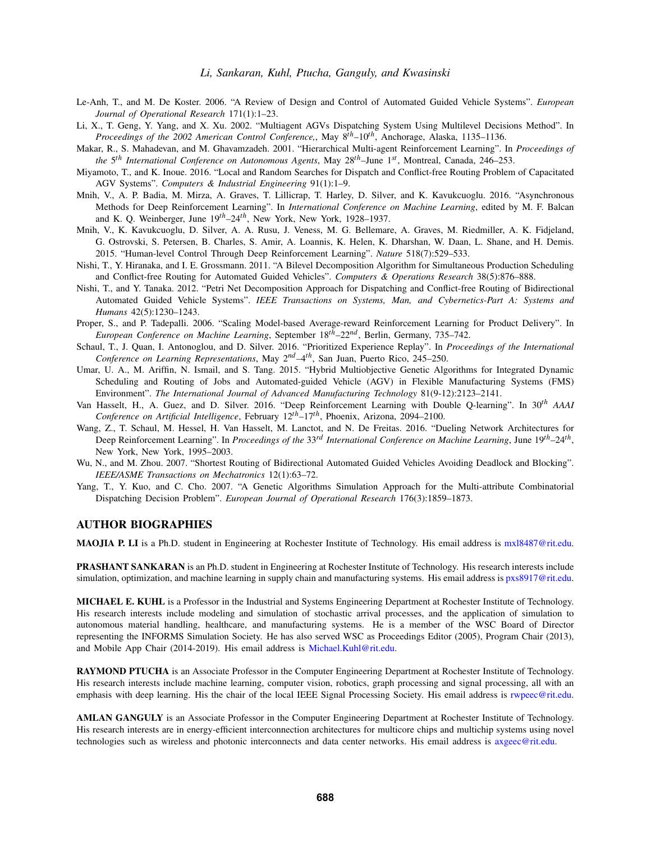- <span id="page-8-0"></span>Le-Anh, T., and M. De Koster. 2006. "A Review of Design and Control of Automated Guided Vehicle Systems". *European Journal of Operational Research* 171(1):1–23.
- <span id="page-8-9"></span>Li, X., T. Geng, Y. Yang, and X. Xu. 2002. "Multiagent AGVs Dispatching System Using Multilevel Decisions Method". In *Proceedings of the 2002 American Control Conference,*, May 8*th*–10*th*, Anchorage, Alaska, 1135–1136.
- <span id="page-8-8"></span>Makar, R., S. Mahadevan, and M. Ghavamzadeh. 2001. "Hierarchical Multi-agent Reinforcement Learning". In *Proceedings of the* 5 *th International Conference on Autonomous Agents*, May 28*th*–June 1*st* , Montreal, Canada, 246–253.
- <span id="page-8-2"></span>Miyamoto, T., and K. Inoue. 2016. "Local and Random Searches for Dispatch and Conflict-free Routing Problem of Capacitated AGV Systems". *Computers & Industrial Engineering* 91(1):1–9.
- <span id="page-8-14"></span>Mnih, V., A. P. Badia, M. Mirza, A. Graves, T. Lillicrap, T. Harley, D. Silver, and K. Kavukcuoglu. 2016. "Asynchronous Methods for Deep Reinforcement Learning". In *International Conference on Machine Learning*, edited by M. F. Balcan and K. Q. Weinberger, June 19*th*–24*th*, New York, New York, 1928–1937.
- <span id="page-8-1"></span>Mnih, V., K. Kavukcuoglu, D. Silver, A. A. Rusu, J. Veness, M. G. Bellemare, A. Graves, M. Riedmiller, A. K. Fidjeland, G. Ostrovski, S. Petersen, B. Charles, S. Amir, A. Loannis, K. Helen, K. Dharshan, W. Daan, L. Shane, and H. Demis. 2015. "Human-level Control Through Deep Reinforcement Learning". *Nature* 518(7):529–533.
- <span id="page-8-3"></span>Nishi, T., Y. Hiranaka, and I. E. Grossmann. 2011. "A Bilevel Decomposition Algorithm for Simultaneous Production Scheduling and Conflict-free Routing for Automated Guided Vehicles". *Computers & Operations Research* 38(5):876–888.
- <span id="page-8-4"></span>Nishi, T., and Y. Tanaka. 2012. "Petri Net Decomposition Approach for Dispatching and Conflict-free Routing of Bidirectional Automated Guided Vehicle Systems". *IEEE Transactions on Systems, Man, and Cybernetics-Part A: Systems and Humans* 42(5):1230–1243.
- <span id="page-8-10"></span>Proper, S., and P. Tadepalli. 2006. "Scaling Model-based Average-reward Reinforcement Learning for Product Delivery". In *European Conference on Machine Learning*, September 18*th*–22*nd*, Berlin, Germany, 735–742.
- <span id="page-8-12"></span>Schaul, T., J. Quan, I. Antonoglou, and D. Silver. 2016. "Prioritized Experience Replay". In *Proceedings of the International Conference on Learning Representations*, May 2*nd*–4*th*, San Juan, Puerto Rico, 245–250.
- <span id="page-8-5"></span>Umar, U. A., M. Ariffin, N. Ismail, and S. Tang. 2015. "Hybrid Multiobjective Genetic Algorithms for Integrated Dynamic Scheduling and Routing of Jobs and Automated-guided Vehicle (AGV) in Flexible Manufacturing Systems (FMS) Environment". *The International Journal of Advanced Manufacturing Technology* 81(9-12):2123–2141.
- <span id="page-8-13"></span>Van Hasselt, H., A. Guez, and D. Silver. 2016. "Deep Reinforcement Learning with Double Q-learning". In 30*th AAAI Conference on Artificial Intelligence*, February 12*th*–17*th*, Phoenix, Arizona, 2094–2100.
- <span id="page-8-11"></span>Wang, Z., T. Schaul, M. Hessel, H. Van Hasselt, M. Lanctot, and N. De Freitas. 2016. "Dueling Network Architectures for Deep Reinforcement Learning". In *Proceedings of the* 33*rd International Conference on Machine Learning*, June 19*th*–24*th* , New York, New York, 1995–2003.
- <span id="page-8-7"></span>Wu, N., and M. Zhou. 2007. "Shortest Routing of Bidirectional Automated Guided Vehicles Avoiding Deadlock and Blocking". *IEEE/ASME Transactions on Mechatronics* 12(1):63–72.
- <span id="page-8-6"></span>Yang, T., Y. Kuo, and C. Cho. 2007. "A Genetic Algorithms Simulation Approach for the Multi-attribute Combinatorial Dispatching Decision Problem". *European Journal of Operational Research* 176(3):1859–1873.

## AUTHOR BIOGRAPHIES

MAOJIA P. LI is a Ph.D. student in Engineering at Rochester Institute of Technology. His email address is [mxl8487@rit.edu.](mailto://mxl8487@rit.edu)

PRASHANT SANKARAN is an Ph.D. student in Engineering at Rochester Institute of Technology. His research interests include simulation, optimization, and machine learning in supply chain and manufacturing systems. His email address is [pxs8917@rit.edu.](mailto://pxs8917@rit.edu)

MICHAEL E. KUHL is a Professor in the Industrial and Systems Engineering Department at Rochester Institute of Technology. His research interests include modeling and simulation of stochastic arrival processes, and the application of simulation to autonomous material handling, healthcare, and manufacturing systems. He is a member of the WSC Board of Director representing the INFORMS Simulation Society. He has also served WSC as Proceedings Editor (2005), Program Chair (2013), and Mobile App Chair (2014-2019). His email address is [Michael.Kuhl@rit.edu.](mailto://Michael.Kuhl@rit.edu)

RAYMOND PTUCHA is an Associate Professor in the Computer Engineering Department at Rochester Institute of Technology. His research interests include machine learning, computer vision, robotics, graph processing and signal processing, all with an emphasis with deep learning. His the chair of the local IEEE Signal Processing Society. His email address is [rwpeec@rit.edu.](mailto://rwpeec@rit.edu)

AMLAN GANGULY is an Associate Professor in the Computer Engineering Department at Rochester Institute of Technology. His research interests are in energy-efficient interconnection architectures for multicore chips and multichip systems using novel technologies such as wireless and photonic interconnects and data center networks. His email address is [axgeec@rit.edu.](mailto://axgeec@rit.edu)